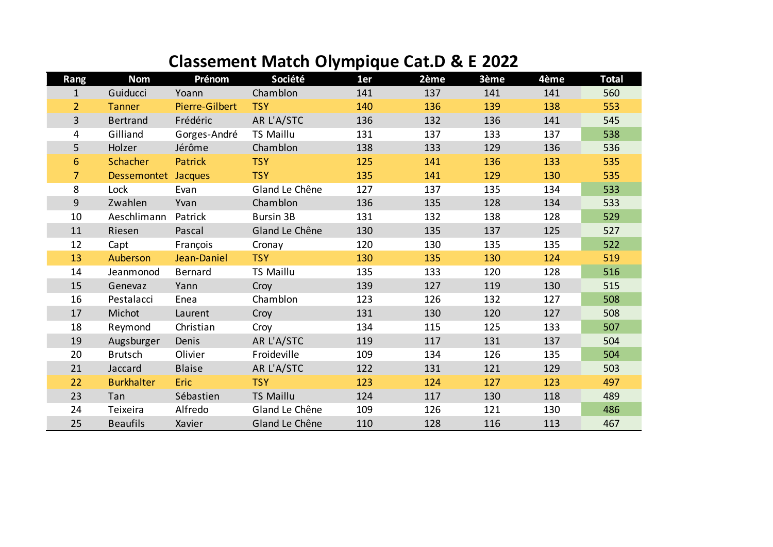## **Classement Match Olympique Cat.D & E 2022**

| Rang           | <b>Nom</b>          | Prénom         | Société          | 1er | 2ème | 3ème | 4ème | <b>Total</b> |
|----------------|---------------------|----------------|------------------|-----|------|------|------|--------------|
| $\mathbf{1}$   | Guiducci            | Yoann          | Chamblon         | 141 | 137  | 141  | 141  | 560          |
| $\overline{2}$ | <b>Tanner</b>       | Pierre-Gilbert | <b>TSY</b>       | 140 | 136  | 139  | 138  | 553          |
| 3              | <b>Bertrand</b>     | Frédéric       | AR L'A/STC       | 136 | 132  | 136  | 141  | 545          |
| 4              | Gilliand            | Gorges-André   | <b>TS Maillu</b> | 131 | 137  | 133  | 137  | 538          |
| 5              | Holzer              | Jérôme         | Chamblon         | 138 | 133  | 129  | 136  | 536          |
| 6              | Schacher            | <b>Patrick</b> | <b>TSY</b>       | 125 | 141  | 136  | 133  | 535          |
| $\overline{7}$ | Dessemontet Jacques |                | <b>TSY</b>       | 135 | 141  | 129  | 130  | 535          |
| 8              | Lock                | Evan           | Gland Le Chêne   | 127 | 137  | 135  | 134  | 533          |
| 9              | Zwahlen             | Yvan           | Chamblon         | 136 | 135  | 128  | 134  | 533          |
| 10             | Aeschlimann         | Patrick        | <b>Bursin 3B</b> | 131 | 132  | 138  | 128  | 529          |
| 11             | Riesen              | Pascal         | Gland Le Chêne   | 130 | 135  | 137  | 125  | 527          |
| 12             | Capt                | François       | Cronay           | 120 | 130  | 135  | 135  | 522          |
| 13             | Auberson            | Jean-Daniel    | <b>TSY</b>       | 130 | 135  | 130  | 124  | 519          |
| 14             | Jeanmonod           | <b>Bernard</b> | <b>TS Maillu</b> | 135 | 133  | 120  | 128  | 516          |
| 15             | Genevaz             | Yann           | Croy             | 139 | 127  | 119  | 130  | 515          |
| 16             | Pestalacci          | Enea           | Chamblon         | 123 | 126  | 132  | 127  | 508          |
| 17             | Michot              | Laurent        | Croy             | 131 | 130  | 120  | 127  | 508          |
| 18             | Reymond             | Christian      | Croy             | 134 | 115  | 125  | 133  | 507          |
| 19             | Augsburger          | Denis          | AR L'A/STC       | 119 | 117  | 131  | 137  | 504          |
| 20             | <b>Brutsch</b>      | Olivier        | Froideville      | 109 | 134  | 126  | 135  | 504          |
| 21             | Jaccard             | <b>Blaise</b>  | AR L'A/STC       | 122 | 131  | 121  | 129  | 503          |
| 22             | <b>Burkhalter</b>   | Eric           | <b>TSY</b>       | 123 | 124  | 127  | 123  | 497          |
| 23             | Tan                 | Sébastien      | <b>TS Maillu</b> | 124 | 117  | 130  | 118  | 489          |
| 24             | Teixeira            | Alfredo        | Gland Le Chêne   | 109 | 126  | 121  | 130  | 486          |
| 25             | <b>Beaufils</b>     | Xavier         | Gland Le Chêne   | 110 | 128  | 116  | 113  | 467          |